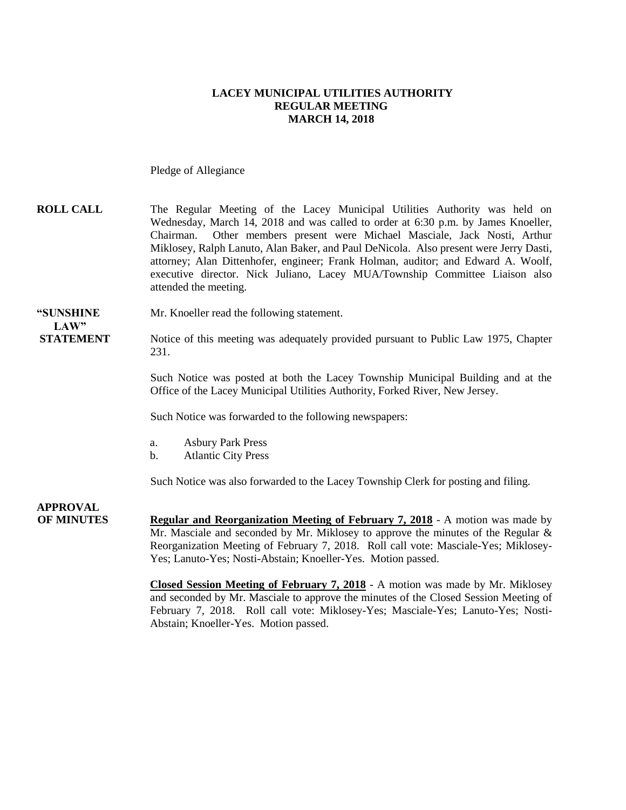#### **LACEY MUNICIPAL UTILITIES AUTHORITY REGULAR MEETING MARCH 14, 2018**

Pledge of Allegiance

### **ROLL CALL** The Regular Meeting of the Lacey Municipal Utilities Authority was held on Wednesday, March 14, 2018 and was called to order at 6:30 p.m. by James Knoeller, Chairman. Other members present were Michael Masciale, Jack Nosti, Arthur Miklosey, Ralph Lanuto, Alan Baker, and Paul DeNicola. Also present were Jerry Dasti, attorney; Alan Dittenhofer, engineer; Frank Holman, auditor; and Edward A. Woolf, executive director. Nick Juliano, Lacey MUA/Township Committee Liaison also attended the meeting.

#### **"SUNSHINE** Mr. Knoeller read the following statement.

## LAW"

**STATEMENT** Notice of this meeting was adequately provided pursuant to Public Law 1975, Chapter 231.

> Such Notice was posted at both the Lacey Township Municipal Building and at the Office of the Lacey Municipal Utilities Authority, Forked River, New Jersey.

Such Notice was forwarded to the following newspapers:

- a. Asbury Park Press
- b. Atlantic City Press

Such Notice was also forwarded to the Lacey Township Clerk for posting and filing.

**APPROVAL OF MINUTES Regular and Reorganization Meeting of February 7, 2018** - A motion was made by Mr. Masciale and seconded by Mr. Miklosey to approve the minutes of the Regular & Reorganization Meeting of February 7, 2018. Roll call vote: Masciale-Yes; Miklosey-Yes; Lanuto-Yes; Nosti-Abstain; Knoeller-Yes. Motion passed.

> **Closed Session Meeting of February 7, 2018** - A motion was made by Mr. Miklosey and seconded by Mr. Masciale to approve the minutes of the Closed Session Meeting of February 7, 2018. Roll call vote: Miklosey-Yes; Masciale-Yes; Lanuto-Yes; Nosti-Abstain; Knoeller-Yes. Motion passed.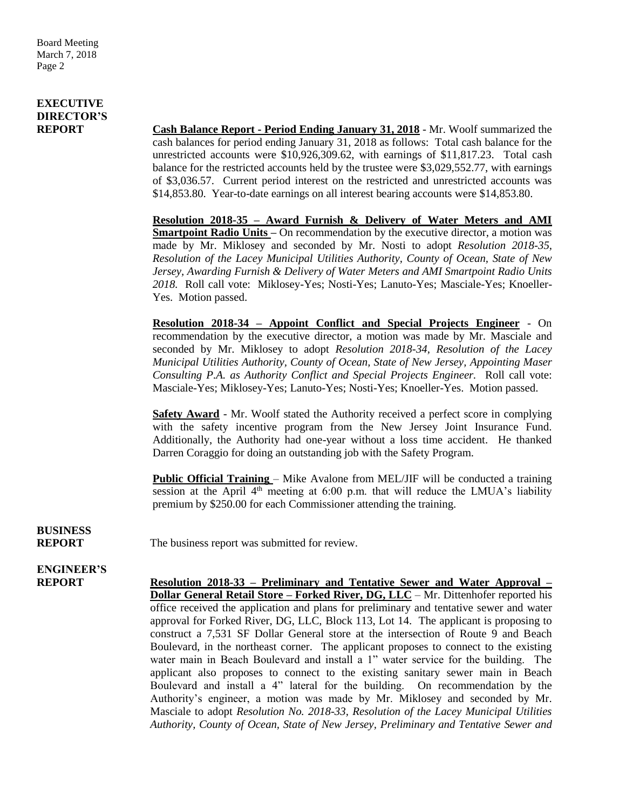### **EXECUTIVE DIRECTOR'S**

**REPORT Cash Balance Report - Period Ending January 31, 2018** - Mr. Woolf summarized the cash balances for period ending January 31, 2018 as follows: Total cash balance for the unrestricted accounts were \$10,926,309.62, with earnings of \$11,817.23. Total cash balance for the restricted accounts held by the trustee were \$3,029,552.77, with earnings of \$3,036.57. Current period interest on the restricted and unrestricted accounts was \$14,853.80. Year-to-date earnings on all interest bearing accounts were \$14,853.80.

> **Resolution 2018-35 – Award Furnish & Delivery of Water Meters and AMI Smartpoint Radio Units –** On recommendation by the executive director, a motion was made by Mr. Miklosey and seconded by Mr. Nosti to adopt *Resolution 2018-35, Resolution of the Lacey Municipal Utilities Authority, County of Ocean, State of New Jersey, Awarding Furnish & Delivery of Water Meters and AMI Smartpoint Radio Units 2018.* Roll call vote: Miklosey-Yes; Nosti-Yes; Lanuto-Yes; Masciale-Yes; Knoeller-Yes. Motion passed.

> **Resolution 2018-34 – Appoint Conflict and Special Projects Engineer** - On recommendation by the executive director, a motion was made by Mr. Masciale and seconded by Mr. Miklosey to adopt *Resolution 2018-34, Resolution of the Lacey Municipal Utilities Authority, County of Ocean, State of New Jersey, Appointing Maser Consulting P.A. as Authority Conflict and Special Projects Engineer.* Roll call vote: Masciale-Yes; Miklosey-Yes; Lanuto-Yes; Nosti-Yes; Knoeller-Yes. Motion passed.

> **Safety Award** - Mr. Woolf stated the Authority received a perfect score in complying with the safety incentive program from the New Jersey Joint Insurance Fund. Additionally, the Authority had one-year without a loss time accident. He thanked Darren Coraggio for doing an outstanding job with the Safety Program.

> **Public Official Training** – Mike Avalone from MEL/JIF will be conducted a training session at the April  $4<sup>th</sup>$  meeting at 6:00 p.m. that will reduce the LMUA's liability premium by \$250.00 for each Commissioner attending the training.

# **BUSINESS**

**REPORT** The business report was submitted for review.

## **ENGINEER'S**

**REPORT Resolution 2018-33 – Preliminary and Tentative Sewer and Water Approval – Dollar General Retail Store – Forked River, DG, LLC** – Mr. Dittenhofer reported his office received the application and plans for preliminary and tentative sewer and water approval for Forked River, DG, LLC, Block 113, Lot 14. The applicant is proposing to construct a 7,531 SF Dollar General store at the intersection of Route 9 and Beach Boulevard, in the northeast corner. The applicant proposes to connect to the existing water main in Beach Boulevard and install a 1" water service for the building. The applicant also proposes to connect to the existing sanitary sewer main in Beach Boulevard and install a 4" lateral for the building. On recommendation by the Authority's engineer, a motion was made by Mr. Miklosey and seconded by Mr. Masciale to adopt *Resolution No. 2018-33, Resolution of the Lacey Municipal Utilities Authority, County of Ocean, State of New Jersey, Preliminary and Tentative Sewer and*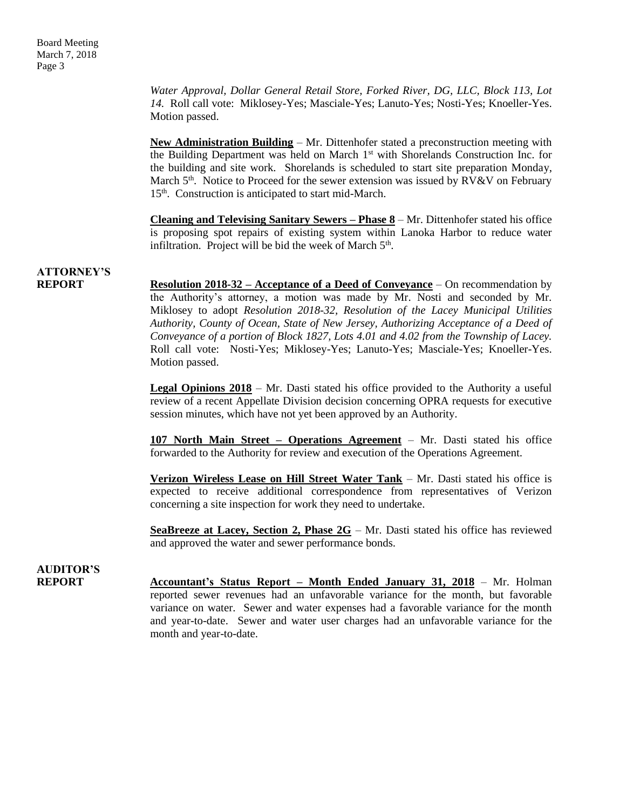*Water Approval, Dollar General Retail Store, Forked River, DG, LLC, Block 113, Lot 14.* Roll call vote: Miklosey-Yes; Masciale-Yes; Lanuto-Yes; Nosti-Yes; Knoeller-Yes. Motion passed.

**New Administration Building** – Mr. Dittenhofer stated a preconstruction meeting with the Building Department was held on March  $1<sup>st</sup>$  with Shorelands Construction Inc. for the building and site work. Shorelands is scheduled to start site preparation Monday, March  $5<sup>th</sup>$ . Notice to Proceed for the sewer extension was issued by  $RV&V$  on February 15<sup>th</sup>. Construction is anticipated to start mid-March.

**Cleaning and Televising Sanitary Sewers – Phase 8** – Mr. Dittenhofer stated his office is proposing spot repairs of existing system within Lanoka Harbor to reduce water infiltration. Project will be bid the week of March  $5<sup>th</sup>$ .

### **ATTORNEY'S**

**REPORT Resolution 2018-32 – Acceptance of a Deed of Conveyance** – On recommendation by the Authority's attorney, a motion was made by Mr. Nosti and seconded by Mr. Miklosey to adopt *Resolution 2018-32, Resolution of the Lacey Municipal Utilities Authority, County of Ocean, State of New Jersey, Authorizing Acceptance of a Deed of Conveyance of a portion of Block 1827, Lots 4.01 and 4.02 from the Township of Lacey.* Roll call vote: Nosti-Yes; Miklosey-Yes; Lanuto-Yes; Masciale-Yes; Knoeller-Yes. Motion passed.

> **Legal Opinions 2018** – Mr. Dasti stated his office provided to the Authority a useful review of a recent Appellate Division decision concerning OPRA requests for executive session minutes, which have not yet been approved by an Authority.

> **107 North Main Street – Operations Agreement** – Mr. Dasti stated his office forwarded to the Authority for review and execution of the Operations Agreement.

> **Verizon Wireless Lease on Hill Street Water Tank** – Mr. Dasti stated his office is expected to receive additional correspondence from representatives of Verizon concerning a site inspection for work they need to undertake.

> **SeaBreeze at Lacey, Section 2, Phase 2G** – Mr. Dasti stated his office has reviewed and approved the water and sewer performance bonds.

#### **AUDITOR'S REPORT** Accountant's Status Report – Month Ended January 31, 2018 – Mr. Holman reported sewer revenues had an unfavorable variance for the month, but favorable variance on water. Sewer and water expenses had a favorable variance for the month and year-to-date. Sewer and water user charges had an unfavorable variance for the month and year-to-date.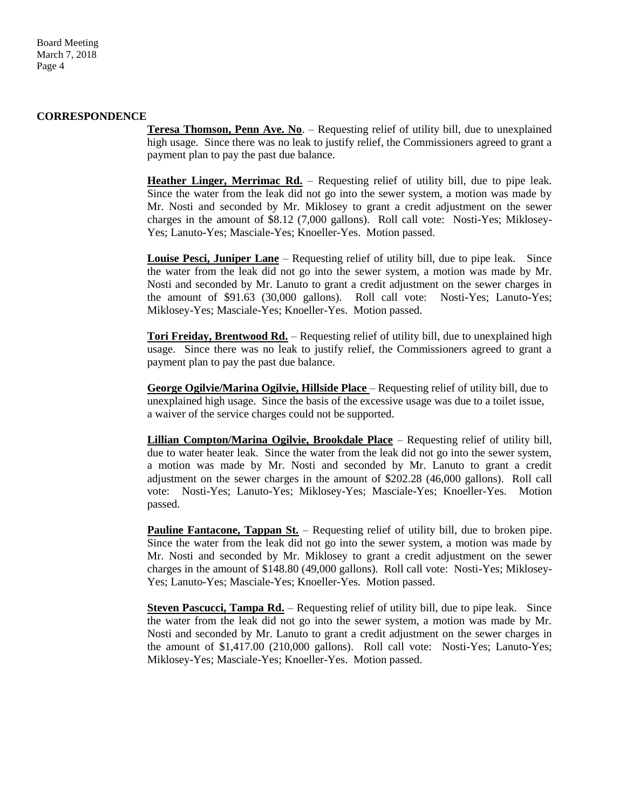Board Meeting March 7, 2018 Page 4

#### **CORRESPONDENCE**

**Teresa Thomson, Penn Ave. No**. – Requesting relief of utility bill, due to unexplained high usage. Since there was no leak to justify relief, the Commissioners agreed to grant a payment plan to pay the past due balance.

**Heather Linger, Merrimac Rd.** – Requesting relief of utility bill, due to pipe leak. Since the water from the leak did not go into the sewer system, a motion was made by Mr. Nosti and seconded by Mr. Miklosey to grant a credit adjustment on the sewer charges in the amount of \$8.12 (7,000 gallons). Roll call vote: Nosti-Yes; Miklosey-Yes; Lanuto-Yes; Masciale-Yes; Knoeller-Yes. Motion passed.

**Louise Pesci, Juniper Lane** – Requesting relief of utility bill, due to pipe leak. Since the water from the leak did not go into the sewer system, a motion was made by Mr. Nosti and seconded by Mr. Lanuto to grant a credit adjustment on the sewer charges in the amount of \$91.63 (30,000 gallons). Roll call vote: Nosti-Yes; Lanuto-Yes; Miklosey-Yes; Masciale-Yes; Knoeller-Yes. Motion passed.

**Tori Freiday, Brentwood Rd.** – Requesting relief of utility bill, due to unexplained high usage. Since there was no leak to justify relief, the Commissioners agreed to grant a payment plan to pay the past due balance.

**George Ogilvie/Marina Ogilvie, Hillside Place** – Requesting relief of utility bill, due to unexplained high usage. Since the basis of the excessive usage was due to a toilet issue, a waiver of the service charges could not be supported.

**Lillian Compton/Marina Ogilvie, Brookdale Place** – Requesting relief of utility bill, due to water heater leak. Since the water from the leak did not go into the sewer system, a motion was made by Mr. Nosti and seconded by Mr. Lanuto to grant a credit adjustment on the sewer charges in the amount of \$202.28 (46,000 gallons). Roll call vote: Nosti-Yes; Lanuto-Yes; Miklosey-Yes; Masciale-Yes; Knoeller-Yes. Motion passed.

**Pauline Fantacone, Tappan St.** – Requesting relief of utility bill, due to broken pipe. Since the water from the leak did not go into the sewer system, a motion was made by Mr. Nosti and seconded by Mr. Miklosey to grant a credit adjustment on the sewer charges in the amount of \$148.80 (49,000 gallons). Roll call vote: Nosti-Yes; Miklosey-Yes; Lanuto-Yes; Masciale-Yes; Knoeller-Yes. Motion passed.

**Steven Pascucci, Tampa Rd.** – Requesting relief of utility bill, due to pipe leak. Since the water from the leak did not go into the sewer system, a motion was made by Mr. Nosti and seconded by Mr. Lanuto to grant a credit adjustment on the sewer charges in the amount of \$1,417.00 (210,000 gallons). Roll call vote: Nosti-Yes; Lanuto-Yes; Miklosey-Yes; Masciale-Yes; Knoeller-Yes. Motion passed.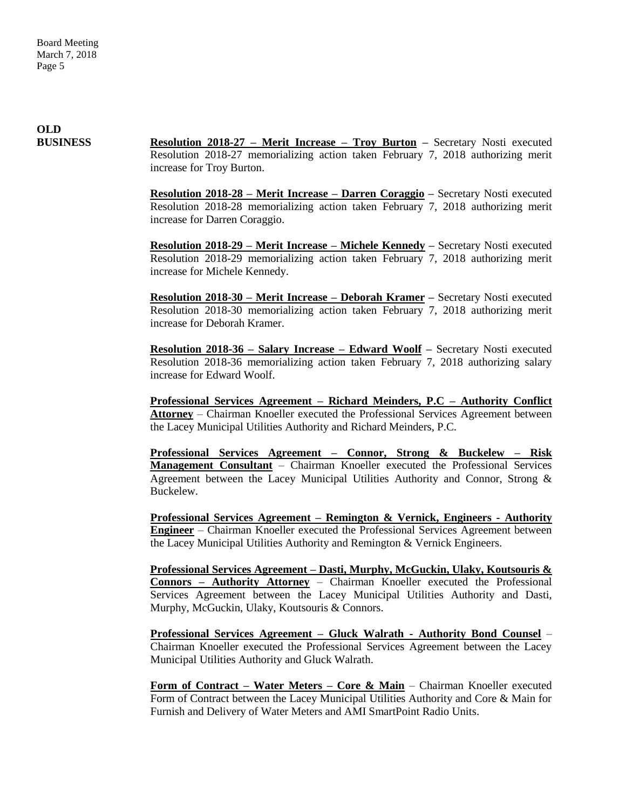**OLD**

**BUSINESS Resolution 2018-27 – Merit Increase – Troy Burton –** Secretary Nosti executed Resolution 2018-27 memorializing action taken February 7, 2018 authorizing merit increase for Troy Burton.

> **Resolution 2018-28 – Merit Increase – Darren Coraggio –** Secretary Nosti executed Resolution 2018-28 memorializing action taken February 7, 2018 authorizing merit increase for Darren Coraggio.

> **Resolution 2018-29 – Merit Increase – Michele Kennedy –** Secretary Nosti executed Resolution 2018-29 memorializing action taken February 7, 2018 authorizing merit increase for Michele Kennedy.

> **Resolution 2018-30 – Merit Increase – Deborah Kramer –** Secretary Nosti executed Resolution 2018-30 memorializing action taken February 7, 2018 authorizing merit increase for Deborah Kramer.

> **Resolution 2018-36 – Salary Increase – Edward Woolf –** Secretary Nosti executed Resolution 2018-36 memorializing action taken February 7, 2018 authorizing salary increase for Edward Woolf.

> **Professional Services Agreement – Richard Meinders, P.C – Authority Conflict Attorney** – Chairman Knoeller executed the Professional Services Agreement between the Lacey Municipal Utilities Authority and Richard Meinders, P.C.

> **Professional Services Agreement – Connor, Strong & Buckelew – Risk Management Consultant** – Chairman Knoeller executed the Professional Services Agreement between the Lacey Municipal Utilities Authority and Connor, Strong & Buckelew.

> **Professional Services Agreement – Remington & Vernick, Engineers - Authority Engineer** – Chairman Knoeller executed the Professional Services Agreement between the Lacey Municipal Utilities Authority and Remington & Vernick Engineers.

> **Professional Services Agreement – Dasti, Murphy, McGuckin, Ulaky, Koutsouris & Connors – Authority Attorney** – Chairman Knoeller executed the Professional Services Agreement between the Lacey Municipal Utilities Authority and Dasti, Murphy, McGuckin, Ulaky, Koutsouris & Connors.

> **Professional Services Agreement – Gluck Walrath - Authority Bond Counsel** – Chairman Knoeller executed the Professional Services Agreement between the Lacey Municipal Utilities Authority and Gluck Walrath.

> **Form of Contract – Water Meters – Core & Main** – Chairman Knoeller executed Form of Contract between the Lacey Municipal Utilities Authority and Core & Main for Furnish and Delivery of Water Meters and AMI SmartPoint Radio Units.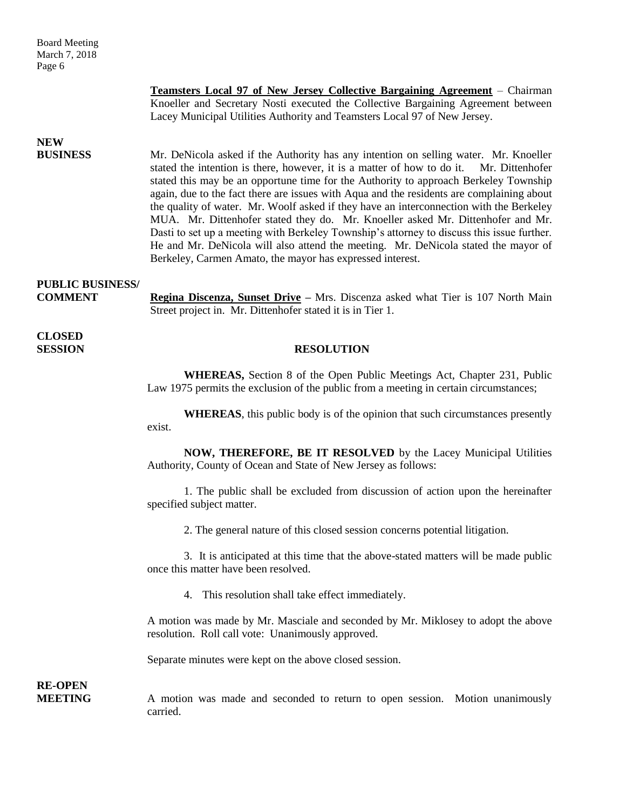Board Meeting March 7, 2018 Page 6

> **Teamsters Local 97 of New Jersey Collective Bargaining Agreement** – Chairman Knoeller and Secretary Nosti executed the Collective Bargaining Agreement between Lacey Municipal Utilities Authority and Teamsters Local 97 of New Jersey.

### **NEW**

**BUSINESS** Mr. DeNicola asked if the Authority has any intention on selling water. Mr. Knoeller stated the intention is there, however, it is a matter of how to do it. Mr. Dittenhofer stated this may be an opportune time for the Authority to approach Berkeley Township again, due to the fact there are issues with Aqua and the residents are complaining about the quality of water. Mr. Woolf asked if they have an interconnection with the Berkeley MUA. Mr. Dittenhofer stated they do. Mr. Knoeller asked Mr. Dittenhofer and Mr. Dasti to set up a meeting with Berkeley Township's attorney to discuss this issue further. He and Mr. DeNicola will also attend the meeting. Mr. DeNicola stated the mayor of Berkeley, Carmen Amato, the mayor has expressed interest.

### **PUBLIC BUSINESS/**

**COMMENT Regina Discenza, Sunset Drive** – Mrs. Discenza asked what Tier is 107 North Main Street project in. Mr. Dittenhofer stated it is in Tier 1.

**CLOSED** 

### **SESSION RESOLUTION**

**WHEREAS,** Section 8 of the Open Public Meetings Act, Chapter 231, Public Law 1975 permits the exclusion of the public from a meeting in certain circumstances;

**WHEREAS**, this public body is of the opinion that such circumstances presently exist.

**NOW, THEREFORE, BE IT RESOLVED** by the Lacey Municipal Utilities Authority, County of Ocean and State of New Jersey as follows:

1. The public shall be excluded from discussion of action upon the hereinafter specified subject matter.

2. The general nature of this closed session concerns potential litigation.

3. It is anticipated at this time that the above-stated matters will be made public once this matter have been resolved.

4. This resolution shall take effect immediately.

A motion was made by Mr. Masciale and seconded by Mr. Miklosey to adopt the above resolution. Roll call vote: Unanimously approved.

Separate minutes were kept on the above closed session.

**RE-OPEN**

**MEETING** A motion was made and seconded to return to open session. Motion unanimously carried.